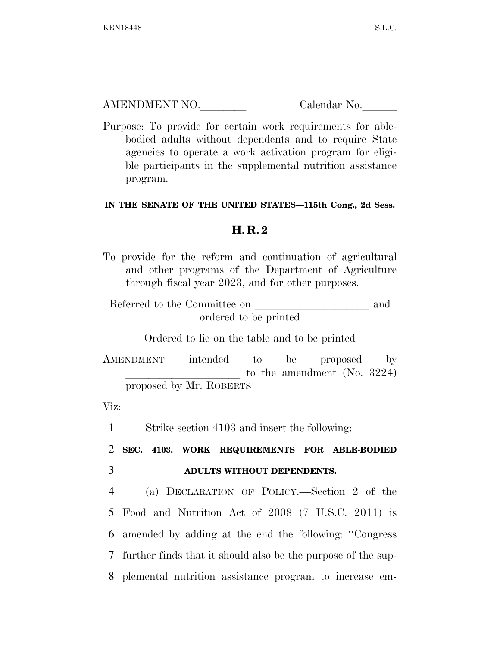AMENDMENT NO. Calendar No.

Purpose: To provide for certain work requirements for ablebodied adults without dependents and to require State agencies to operate a work activation program for eligible participants in the supplemental nutrition assistance program.

## **IN THE SENATE OF THE UNITED STATES—115th Cong., 2d Sess.**

## **H. R. 2**

To provide for the reform and continuation of agricultural and other programs of the Department of Agriculture through fiscal year 2023, and for other purposes.

| Referred to the Committee on | and |
|------------------------------|-----|
| ordered to be printed        |     |

Ordered to lie on the table and to be printed

AMENDMENT intended to be proposed by to the amendment (No.  $3224$ ) proposed by Mr. ROBERTS

Viz:

1 Strike section 4103 and insert the following:

2 **SEC. 4103. WORK REQUIREMENTS FOR ABLE-BODIED**  3 **ADULTS WITHOUT DEPENDENTS.** 

 (a) DECLARATION OF POLICY.—Section 2 of the Food and Nutrition Act of 2008 (7 U.S.C. 2011) is amended by adding at the end the following: ''Congress further finds that it should also be the purpose of the sup-plemental nutrition assistance program to increase em-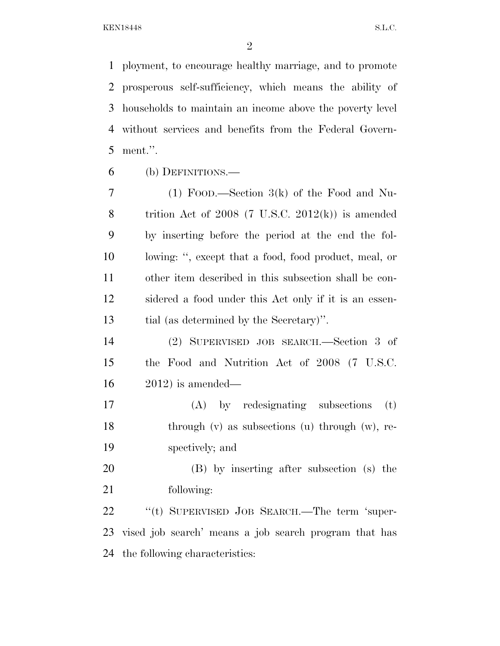ployment, to encourage healthy marriage, and to promote prosperous self-sufficiency, which means the ability of households to maintain an income above the poverty level without services and benefits from the Federal Govern-ment.''.

(b) DEFINITIONS.—

 (1) FOOD.—Section 3(k) of the Food and Nu-8 trition Act of 2008  $(7 \text{ U.S.C. } 2012(\text{k}))$  is amended by inserting before the period at the end the fol- lowing: '', except that a food, food product, meal, or other item described in this subsection shall be con- sidered a food under this Act only if it is an essen-tial (as determined by the Secretary)''.

 (2) SUPERVISED JOB SEARCH.—Section 3 of the Food and Nutrition Act of 2008 (7 U.S.C. 2012) is amended—

 (A) by redesignating subsections (t) 18 through (v) as subsections (u) through (w), re-spectively; and

 (B) by inserting after subsection (s) the following:

22 "(t) SUPERVISED JOB SEARCH.—The term 'super- vised job search' means a job search program that has the following characteristics: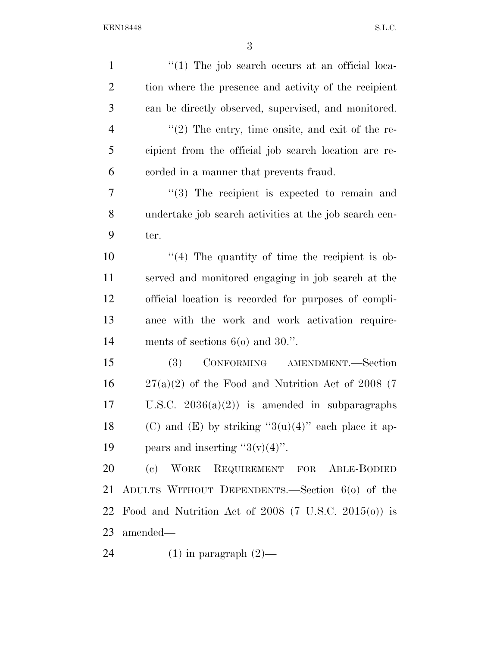| $\mathbf{1}$     | $\lq(1)$ The job search occurs at an official loca-       |
|------------------|-----------------------------------------------------------|
| $\overline{2}$   | tion where the presence and activity of the recipient     |
| 3                | can be directly observed, supervised, and monitored.      |
| $\overline{4}$   | $\lq(2)$ The entry, time onsite, and exit of the re-      |
| 5                | cipient from the official job search location are re-     |
| 6                | corded in a manner that prevents fraud.                   |
| $\overline{7}$   | $(3)$ The recipient is expected to remain and             |
| 8                | undertake job search activities at the job search cen-    |
| 9                | ter.                                                      |
| 10               | $\lq(4)$ The quantity of time the recipient is ob-        |
| 11               | served and monitored engaging in job search at the        |
| 12               | official location is recorded for purposes of compli-     |
| 13               | ance with the work and work activation require-           |
| 14               | ments of sections $60$ and $30$ .".                       |
| 15               | CONFORMING AMENDMENT.—Section<br>(3)                      |
| 16               | $27(a)(2)$ of the Food and Nutrition Act of 2008 (7)      |
| 17               | U.S.C. $2036(a)(2)$ is amended in subparagraphs           |
| 18               | (C) and (E) by striking " $3(u)(4)$ " each place it ap-   |
| 19               | pears and inserting " $3(v)(4)$ ".                        |
| 20               | (c) WORK REQUIREMENT FOR ABLE-BODIED                      |
| 21               | ADULTS WITHOUT DEPENDENTS.—Section 6(0) of the            |
| 22               | Food and Nutrition Act of $2008$ (7 U.S.C. $2015(0)$ ) is |
|                  | 23 amended—                                               |
| $\sim$ $\lambda$ |                                                           |

(1) in paragraph (2)—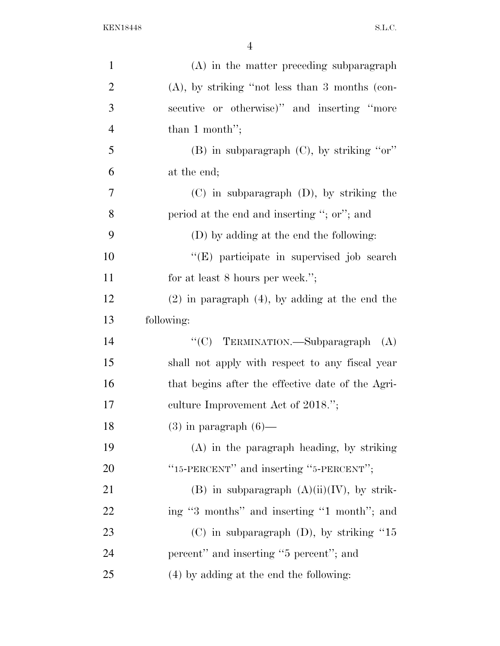| $\mathbf{1}$   | (A) in the matter preceding subparagraph            |
|----------------|-----------------------------------------------------|
| $\overline{2}$ | $(A)$ , by striking "not less than 3 months (con-   |
| 3              | secutive or otherwise)" and inserting "more         |
| $\overline{4}$ | than 1 month";                                      |
| 5              | (B) in subparagraph (C), by striking "or"           |
| 6              | at the end;                                         |
| 7              | $(C)$ in subparagraph $(D)$ , by striking the       |
| 8              | period at the end and inserting "; or"; and         |
| 9              | (D) by adding at the end the following:             |
| 10             | "(E) participate in supervised job search           |
| 11             | for at least 8 hours per week.";                    |
| 12             | $(2)$ in paragraph $(4)$ , by adding at the end the |
| 13             | following:                                          |
| 14             | "(C) TERMINATION.—Subparagraph<br>(A)               |
| 15             | shall not apply with respect to any fiscal year     |
| 16             | that begins after the effective date of the Agri-   |
| 17             | culture Improvement Act of 2018.";                  |
| 18             | $(3)$ in paragraph $(6)$ —                          |
| 19             | $(A)$ in the paragraph heading, by striking         |
| <b>20</b>      | "15-PERCENT" and inserting "5-PERCENT";             |
| 21             | (B) in subparagraph $(A)(ii)(IV)$ , by strik-       |
| 22             | ing "3 months" and inserting "1 month"; and         |
| 23             | $(C)$ in subparagraph $(D)$ , by striking "15       |
| 24             | percent" and inserting "5 percent"; and             |
| 25             | (4) by adding at the end the following:             |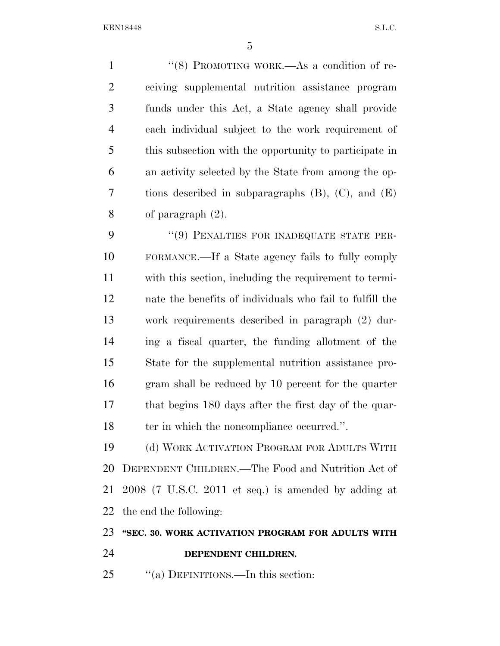1 "(8) PROMOTING WORK.—As a condition of re- ceiving supplemental nutrition assistance program funds under this Act, a State agency shall provide each individual subject to the work requirement of this subsection with the opportunity to participate in an activity selected by the State from among the op- tions described in subparagraphs (B), (C), and (E) of paragraph (2).

9 "(9) PENALTIES FOR INADEQUATE STATE PER- FORMANCE.—If a State agency fails to fully comply with this section, including the requirement to termi- nate the benefits of individuals who fail to fulfill the work requirements described in paragraph (2) dur- ing a fiscal quarter, the funding allotment of the State for the supplemental nutrition assistance pro- gram shall be reduced by 10 percent for the quarter that begins 180 days after the first day of the quar-18 ter in which the noncompliance occurred.".

 (d) WORK ACTIVATION PROGRAM FOR ADULTS WITH DEPENDENT CHILDREN.—The Food and Nutrition Act of 2008 (7 U.S.C. 2011 et seq.) is amended by adding at the end the following:

## **''SEC. 30. WORK ACTIVATION PROGRAM FOR ADULTS WITH**

**DEPENDENT CHILDREN.** 

25 "(a) DEFINITIONS.—In this section: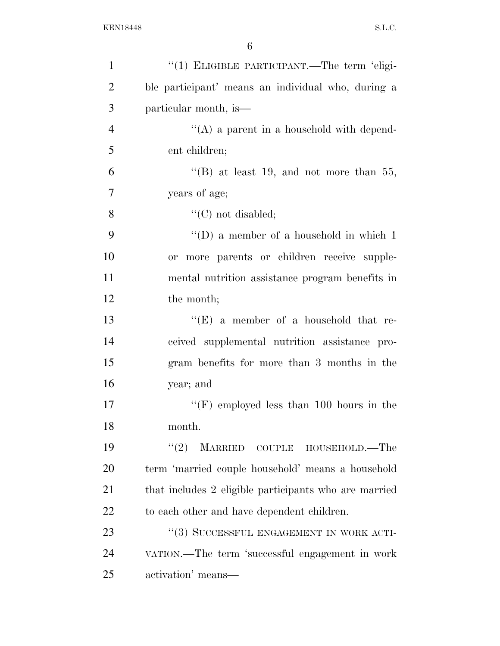| $\mathbf{1}$   | "(1) ELIGIBLE PARTICIPANT.—The term 'eligi-           |
|----------------|-------------------------------------------------------|
| $\overline{2}$ | ble participant' means an individual who, during a    |
| 3              | particular month, is—                                 |
| $\overline{4}$ | $\lq\lq$ a parent in a household with depend-         |
| 5              | ent children;                                         |
| 6              | "(B) at least 19, and not more than 55,               |
| $\overline{7}$ | years of age;                                         |
| 8              | " $(C)$ not disabled;                                 |
| 9              | "(D) a member of a household in which $1$             |
| 10             | more parents or children receive supple-<br>or        |
| 11             | mental nutrition assistance program benefits in       |
| 12             | the month;                                            |
| 13             | "(E) a member of a household that re-                 |
| 14             | ceived supplemental nutrition assistance pro-         |
| 15             | gram benefits for more than 3 months in the           |
| 16             | year; and                                             |
| 17             | " $(F)$ employed less than 100 hours in the           |
| 18             | month.                                                |
| 19             | (2)<br><b>MARRIED</b><br>COUPLE HOUSEHOLD.—The        |
| 20             | term 'married couple household' means a household     |
| 21             | that includes 2 eligible participants who are married |
| 22             | to each other and have dependent children.            |
| 23             | "(3) SUCCESSFUL ENGAGEMENT IN WORK ACTI-              |
| 24             | VATION.—The term 'successful engagement in work       |
| 25             | activation' means-                                    |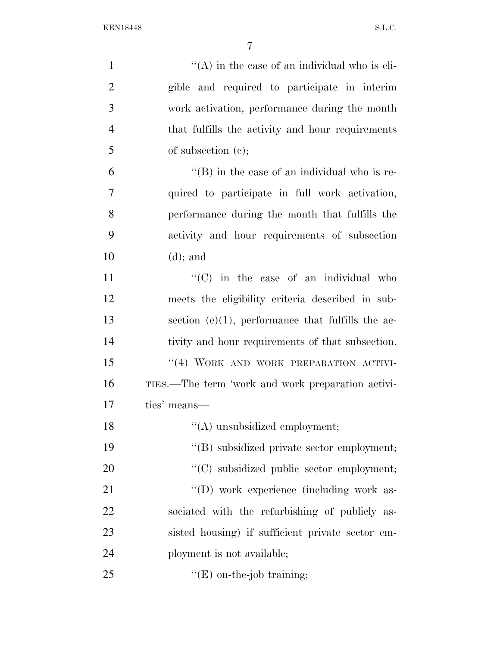| $\mathbf{1}$   | $\lq\lq$ in the case of an individual who is eli-    |
|----------------|------------------------------------------------------|
| $\overline{2}$ | gible and required to participate in interim         |
| 3              | work activation, performance during the month        |
| $\overline{4}$ | that fulfills the activity and hour requirements     |
| 5              | of subsection $(e)$ ;                                |
| 6              | $\lq\lq (B)$ in the case of an individual who is re- |
| 7              | quired to participate in full work activation,       |
| 8              | performance during the month that fulfills the       |
| 9              | activity and hour requirements of subsection         |
| 10             | $(d)$ ; and                                          |
| 11             | "(C) in the case of an individual who                |
| 12             | meets the eligibility criteria described in sub-     |
| 13             | section $(e)(1)$ , performance that fulfills the ac- |
| 14             | tivity and hour requirements of that subsection.     |
| 15             | "(4) WORK AND WORK PREPARATION ACTIVI-               |
| 16             | TIES.—The term 'work and work preparation activi-    |
| 17             | ties' means—                                         |
| 18             | "(A) unsubsidized employment;                        |
| 19             | "(B) subsidized private sector employment;           |
| 20             | "(C) subsidized public sector employment;            |
| 21             | "(D) work experience (including work as-             |
| 22             | sociated with the refurbishing of publicly as-       |
| 23             | sisted housing) if sufficient private sector em-     |
| 24             | ployment is not available;                           |
| 25             | $"$ (E) on-the-job training;                         |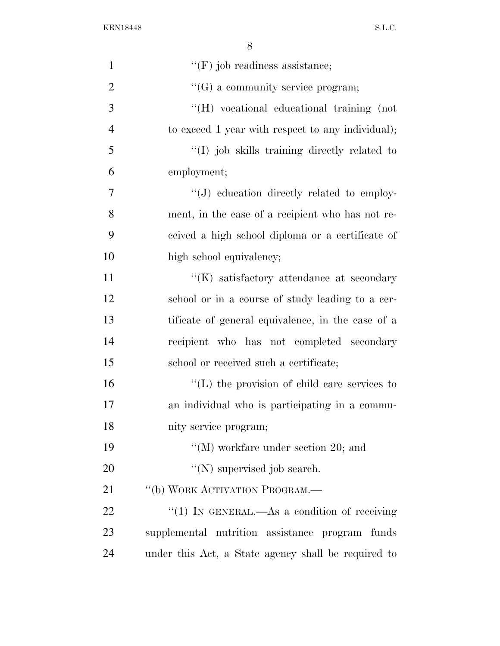| $\mathbf{1}$   | $\lq\lq(F)$ job readiness assistance;               |
|----------------|-----------------------------------------------------|
| $\overline{2}$ | $\lq\lq(G)$ a community service program;            |
| 3              | "(H) vocational educational training (not           |
| $\overline{4}$ | to exceed 1 year with respect to any individual);   |
| 5              | $\lq(1)$ job skills training directly related to    |
| 6              | employment;                                         |
| 7              | $\lq\lq(J)$ education directly related to employ-   |
| 8              | ment, in the case of a recipient who has not re-    |
| 9              | ceived a high school diploma or a certificate of    |
| 10             | high school equivalency;                            |
| 11             | $\lq\lq(K)$ satisfactory attendance at secondary    |
| 12             | school or in a course of study leading to a cer-    |
| 13             | tificate of general equivalence, in the case of a   |
| 14             | recipient who has not completed secondary           |
| 15             | school or received such a certificate;              |
| 16             | $\lq\lq$ . The provision of child care services to  |
| 17             | an individual who is participating in a commu-      |
| 18             | nity service program;                               |
| 19             | "(M) workfare under section 20; and                 |
| 20             | $\lq\lq(N)$ supervised job search.                  |
| 21             | "(b) WORK ACTIVATION PROGRAM.—                      |
| 22             | "(1) IN GENERAL.—As a condition of receiving        |
| 23             | supplemental nutrition assistance program funds     |
| 24             | under this Act, a State agency shall be required to |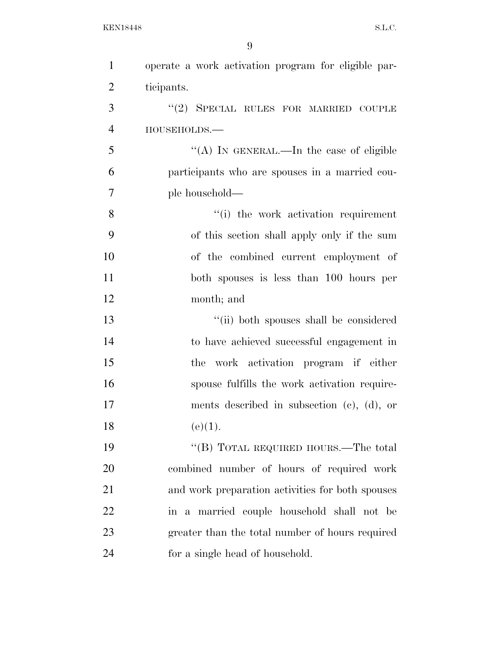| $\mathbf{1}$   | operate a work activation program for eligible par- |
|----------------|-----------------------------------------------------|
| $\overline{2}$ | ticipants.                                          |
| 3              | "(2) SPECIAL RULES FOR MARRIED COUPLE               |
| $\overline{4}$ | HOUSEHOLDS.-                                        |
| 5              | "(A) IN GENERAL.—In the case of eligible            |
| 6              | participants who are spouses in a married cou-      |
| $\overline{7}$ | ple household—                                      |
| 8              | "(i) the work activation requirement                |
| 9              | of this section shall apply only if the sum         |
| 10             | of the combined current employment of               |
| 11             | both spouses is less than 100 hours per             |
| 12             | month; and                                          |
| 13             | "(ii) both spouses shall be considered              |
| 14             | to have achieved successful engagement in           |
| 15             | the work activation program if either               |
| 16             | spouse fulfills the work activation require-        |
| 17             | ments described in subsection $(c)$ , $(d)$ , or    |
| 18             | (e)(1).                                             |
| 19             | "(B) TOTAL REQUIRED HOURS.—The total                |
| 20             | combined number of hours of required work           |
| 21             | and work preparation activities for both spouses    |
| 22             | in a married couple household shall not be          |
| 23             | greater than the total number of hours required     |
| 24             | for a single head of household.                     |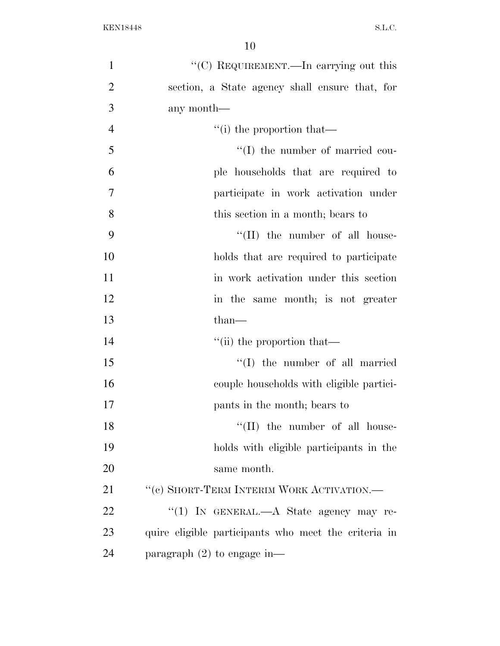| $\mathbf{1}$   | "(C) REQUIREMENT.—In carrying out this               |
|----------------|------------------------------------------------------|
| $\overline{2}$ | section, a State agency shall ensure that, for       |
| 3              | any month—                                           |
| $\overline{4}$ | $f'(i)$ the proportion that—                         |
| 5              | $\lq\lq$ (I) the number of married cou-              |
| 6              | ple households that are required to                  |
| $\overline{7}$ | participate in work activation under                 |
| 8              | this section in a month; bears to                    |
| 9              | $\lq\lq$ (II) the number of all house-               |
| 10             | holds that are required to participate               |
| 11             | in work activation under this section                |
| 12             | in the same month; is not greater                    |
| 13             | $than-$                                              |
| 14             | "(ii) the proportion that—                           |
| 15             | $\lq\lq$ (I) the number of all married               |
| 16             | couple households with eligible partici-             |
| 17             | pants in the month; bears to                         |
| 18             | $``(II)$ the number of all house-                    |
| 19             | holds with eligible participants in the              |
| 20             | same month.                                          |
| 21             | $``$ (c) SHORT-TERM INTERIM WORK ACTIVATION.—        |
| 22             | "(1) IN GENERAL.—A State agency may re-              |
| 23             | quire eligible participants who meet the criteria in |
| 24             | paragraph $(2)$ to engage in—                        |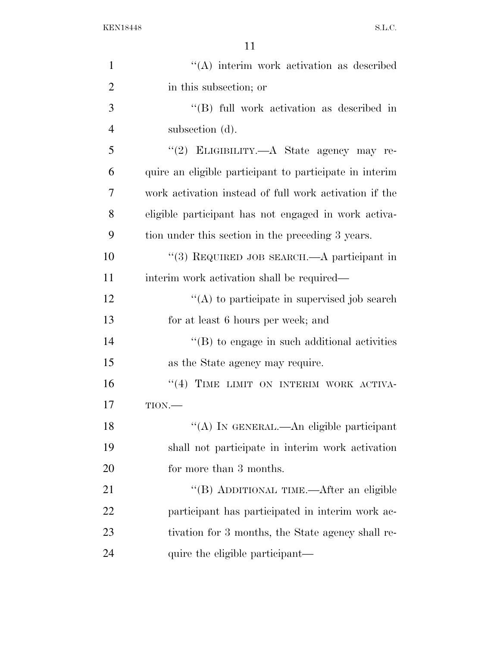| $\mathbf{1}$   | $\lq\lq$ ) interim work activation as described         |
|----------------|---------------------------------------------------------|
| $\overline{2}$ | in this subsection; or                                  |
| 3              | $\lq\lq$ full work activation as described in           |
| $\overline{4}$ | subsection (d).                                         |
| 5              | "(2) ELIGIBILITY.—A State agency may re-                |
| 6              | quire an eligible participant to participate in interim |
| 7              | work activation instead of full work activation if the  |
| 8              | eligible participant has not engaged in work activa-    |
| 9              | tion under this section in the preceding 3 years.       |
| 10             | "(3) REQUIRED JOB SEARCH.—A participant in              |
| 11             | interim work activation shall be required—              |
| 12             | $\lq\lq$ to participate in supervised job search        |
| 13             | for at least 6 hours per week; and                      |
| 14             | $\lq\lq$ (B) to engage in such additional activities    |
| 15             | as the State agency may require.                        |
| 16             | "(4) TIME LIMIT ON INTERIM WORK ACTIVA-                 |
| 17             | $TION$ .                                                |
| 18             | "(A) IN GENERAL.—An eligible participant                |
| 19             | shall not participate in interim work activation        |
| 20             | for more than 3 months.                                 |
| 21             | "(B) ADDITIONAL TIME.—After an eligible                 |
| 22             | participant has participated in interim work ac-        |
| 23             | tivation for 3 months, the State agency shall re-       |
| 24             | quire the eligible participant—                         |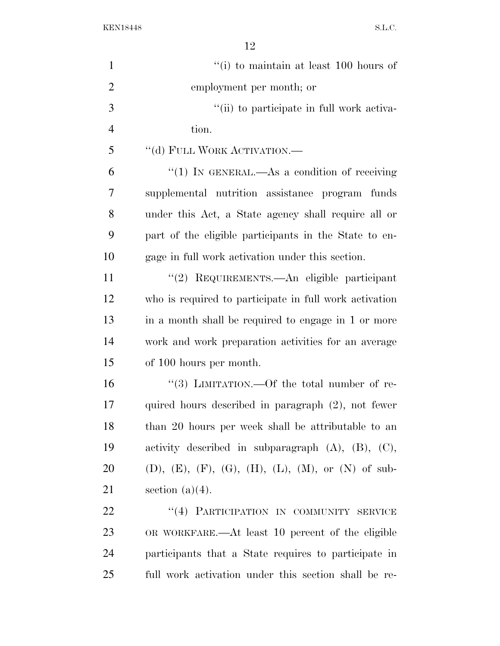| $\mathbf{1}$   | "(i) to maintain at least $100$ hours of                   |
|----------------|------------------------------------------------------------|
| $\overline{2}$ | employment per month; or                                   |
| 3              | "(ii) to participate in full work activa-                  |
| $\overline{4}$ | tion.                                                      |
| 5              | "(d) FULL WORK ACTIVATION.-                                |
| 6              | "(1) IN GENERAL.—As a condition of receiving               |
| $\overline{7}$ | supplemental nutrition assistance program funds            |
| 8              | under this Act, a State agency shall require all or        |
| 9              | part of the eligible participants in the State to en-      |
| 10             | gage in full work activation under this section.           |
| 11             | "(2) REQUIREMENTS.—An eligible participant                 |
| 12             | who is required to participate in full work activation     |
| 13             | in a month shall be required to engage in 1 or more        |
| 14             | work and work preparation activities for an average        |
| 15             | of 100 hours per month.                                    |
| 16             | "(3) LIMITATION.—Of the total number of re-                |
| 17             | quired hours described in paragraph (2), not fewer         |
| 18             | than 20 hours per week shall be attributable to an         |
| 19             | activity described in subparagraph $(A)$ , $(B)$ , $(C)$ , |
| 20             | (D), (E), (F), (G), (H), (L), (M), or (N) of sub-          |
| 21             | section $(a)(4)$ .                                         |
| 22             | "(4) PARTICIPATION IN COMMUNITY SERVICE                    |
| 23             | OR WORKFARE.—At least 10 percent of the eligible           |
| 24             | participants that a State requires to participate in       |
| 25             | full work activation under this section shall be re-       |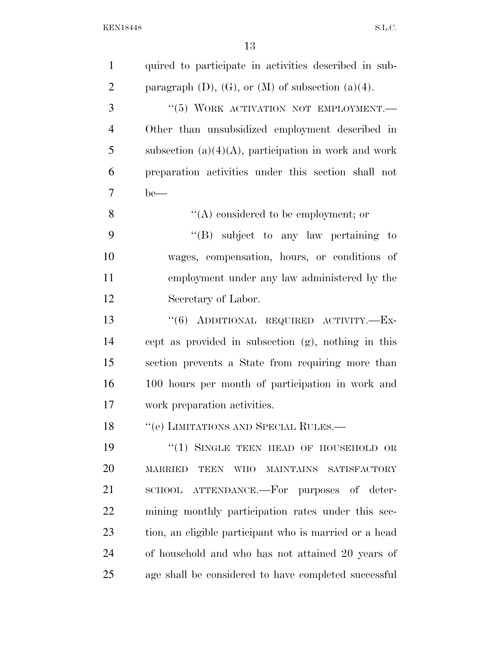| $\mathbf{1}$   | quired to participate in activities described in sub-                 |
|----------------|-----------------------------------------------------------------------|
| $\overline{2}$ | paragraph $(D)$ , $(G)$ , or $(M)$ of subsection $(a)(4)$ .           |
| 3              | "(5) WORK ACTIVATION NOT EMPLOYMENT.                                  |
| $\overline{4}$ | Other than unsubsidized employment described in                       |
| 5              | subsection $(a)(4)(A)$ , participation in work and work               |
| 6              | preparation activities under this section shall not                   |
| 7              | $be$ —                                                                |
| 8              | $\lq\lq$ considered to be employment; or                              |
| 9              | "(B) subject to any law pertaining to                                 |
| 10             | wages, compensation, hours, or conditions of                          |
| 11             | employment under any law administered by the                          |
| 12             | Secretary of Labor.                                                   |
| 13             | "(6) ADDITIONAL REQUIRED ACTIVITY.-Ex-                                |
| 14             | cept as provided in subsection (g), nothing in this                   |
| 15             | section prevents a State from requiring more than                     |
| 16             | 100 hours per month of participation in work and                      |
| 17             | work preparation activities.                                          |
| 18             | "(e) LIMITATIONS AND SPECIAL RULES.—                                  |
| 19             | $\cdot$ (1) SINGLE TEEN HEAD OF HOUSEHOLD OR                          |
| 20             | <b>WHO</b><br>MAINTAINS SATISFACTORY<br><b>MARRIED</b><br><b>TEEN</b> |
| 21             | SCHOOL ATTENDANCE.—For purposes of deter-                             |
| 22             | mining monthly participation rates under this sec-                    |
| 23             | tion, an eligible participant who is married or a head                |
| 24             | of household and who has not attained 20 years of                     |
| 25             | age shall be considered to have completed successful                  |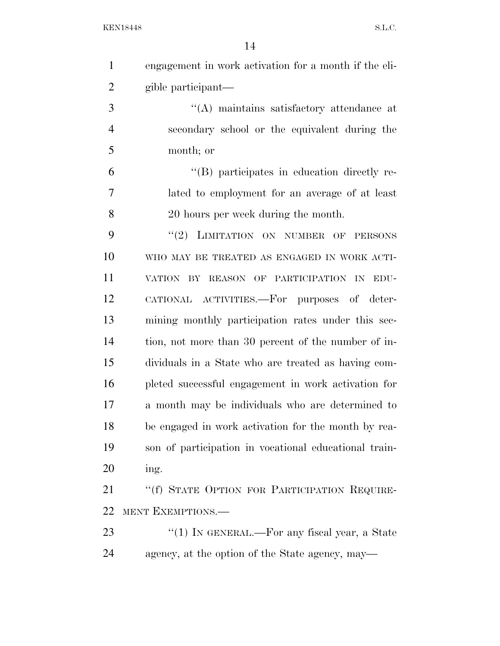| $\mathbf{1}$   | engagement in work activation for a month if the eli- |
|----------------|-------------------------------------------------------|
| $\overline{2}$ | gible participant-                                    |
| 3              | "(A) maintains satisfactory attendance at             |
| $\overline{4}$ | secondary school or the equivalent during the         |
| 5              | month; or                                             |
| 6              | "(B) participates in education directly re-           |
| $\overline{7}$ | lated to employment for an average of at least        |
| 8              | 20 hours per week during the month.                   |
| 9              | "(2) LIMITATION ON NUMBER OF PERSONS                  |
| 10             | WHO MAY BE TREATED AS ENGAGED IN WORK ACTI-           |
| 11             | VATION BY REASON OF PARTICIPATION IN<br>EDU-          |
| 12             | CATIONAL ACTIVITIES.—For purposes of deter-           |
| 13             | mining monthly participation rates under this sec-    |
| 14             | tion, not more than 30 percent of the number of in-   |
| 15             | dividuals in a State who are treated as having com-   |
| 16             | pleted successful engagement in work activation for   |
| 17             | a month may be individuals who are determined to      |
| 18             | be engaged in work activation for the month by rea-   |
| 19             | son of participation in vocational educational train- |
| 20             | ing.                                                  |
| 21             | "(f) STATE OPTION FOR PARTICIPATION REQUIRE-          |
| 22             | MENT EXEMPTIONS.                                      |
| 23             | "(1) IN GENERAL.—For any fiscal year, a State         |
| 24             | agency, at the option of the State agency, may—       |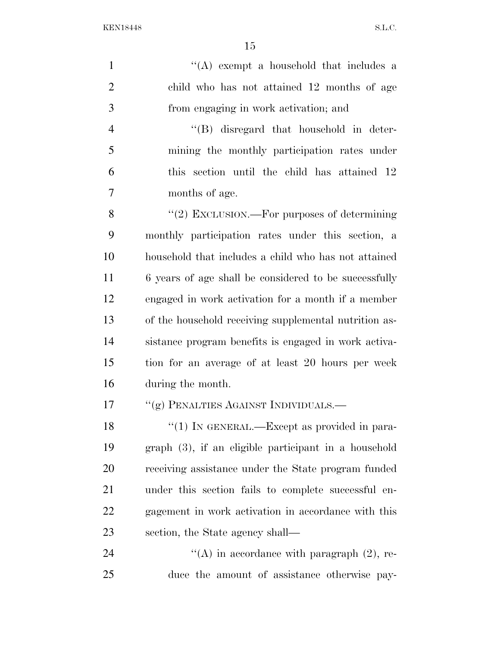1 ''(A) exempt a household that includes a child who has not attained 12 months of age from engaging in work activation; and ''(B) disregard that household in deter- mining the monthly participation rates under this section until the child has attained 12 months of age. 8 "(2) EXCLUSION.—For purposes of determining monthly participation rates under this section, a household that includes a child who has not attained 6 years of age shall be considered to be successfully engaged in work activation for a month if a member of the household receiving supplemental nutrition as- sistance program benefits is engaged in work activa- tion for an average of at least 20 hours per week during the month. 17 <sup>''</sup>(g) PENALTIES AGAINST INDIVIDUALS.— 18 "(1) IN GENERAL.—Except as provided in para- graph (3), if an eligible participant in a household receiving assistance under the State program funded under this section fails to complete successful en- gagement in work activation in accordance with this section, the State agency shall—  $\langle A \rangle$  in accordance with paragraph (2), re-duce the amount of assistance otherwise pay-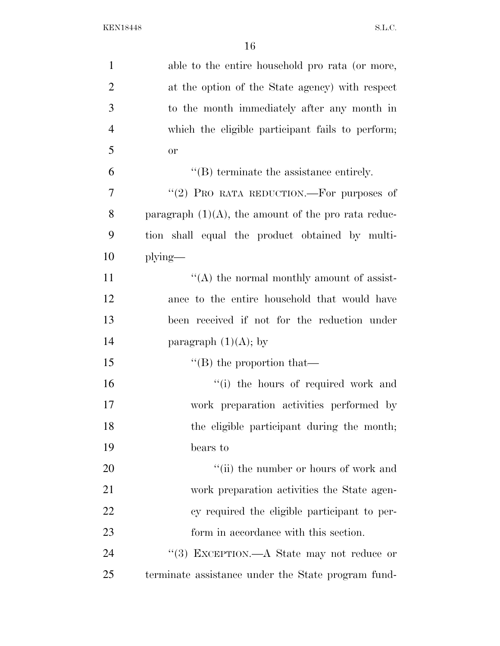| $\mathbf{1}$   | able to the entire household pro rata (or more,        |
|----------------|--------------------------------------------------------|
| $\overline{2}$ | at the option of the State agency) with respect        |
| 3              | to the month immediately after any month in            |
| $\overline{4}$ | which the eligible participant fails to perform;       |
| 5              | <b>or</b>                                              |
| 6              | $\lq\lq$ terminate the assistance entirely.            |
| $\overline{7}$ | "(2) PRO RATA REDUCTION.—For purposes of               |
| 8              | paragraph $(1)(A)$ , the amount of the pro rata reduc- |
| 9              | tion shall equal the product obtained by multi-        |
| 10             | $plying$ —                                             |
| 11             | $\lq\lq$ the normal monthly amount of assist-          |
| 12             | ance to the entire household that would have           |
| 13             | been received if not for the reduction under           |
| 14             | paragraph $(1)(A)$ ; by                                |
| 15             | $\lq\lq (B)$ the proportion that—                      |
| 16             | "(i) the hours of required work and                    |
| 17             | work preparation activities performed by               |
| 18             | the eligible participant during the month;             |
| 19             | bears to                                               |
| 20             | "(ii) the number or hours of work and                  |
| 21             | work preparation activities the State agen-            |
| 22             | cy required the eligible participant to per-           |
| 23             | form in accordance with this section.                  |
| 24             | "(3) EXCEPTION.—A State may not reduce or              |
| 25             | terminate assistance under the State program fund-     |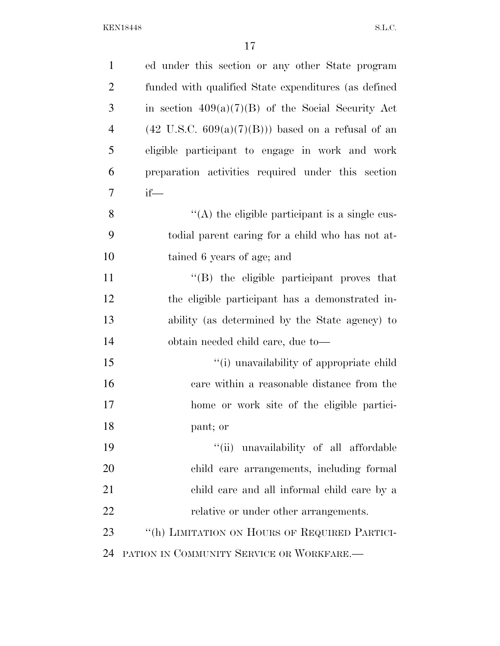| $\mathbf{1}$   | ed under this section or any other State program             |
|----------------|--------------------------------------------------------------|
| $\overline{2}$ | funded with qualified State expenditures (as defined         |
| 3              | in section $409(a)(7)(B)$ of the Social Security Act         |
| $\overline{4}$ | $(42 \text{ U.S.C. } 609(a)(7)(B))$ based on a refusal of an |
| 5              | eligible participant to engage in work and work              |
| 6              | preparation activities required under this section           |
| $\overline{7}$ | $if$ —                                                       |
| 8              | "(A) the eligible participant is a single cus-               |
| 9              | todial parent caring for a child who has not at-             |
| 10             | tained 6 years of age; and                                   |
| 11             | "(B) the eligible participant proves that                    |
| 12             | the eligible participant has a demonstrated in-              |
| 13             | ability (as determined by the State agency) to               |
| 14             | obtain needed child care, due to—                            |
| 15             | "(i) unavailability of appropriate child                     |
| 16             | care within a reasonable distance from the                   |
| 17             | home or work site of the eligible partici-                   |
| 18             | pant; or                                                     |
| 19             | "(ii) unavailability of all affordable                       |
| 20             | child care arrangements, including formal                    |
| 21             | child care and all informal child care by a                  |
| 22             | relative or under other arrangements.                        |
| 23             | "(h) LIMITATION ON HOURS OF REQUIRED PARTICI-                |
| 24             | PATION IN COMMUNITY SERVICE OR WORKFARE.                     |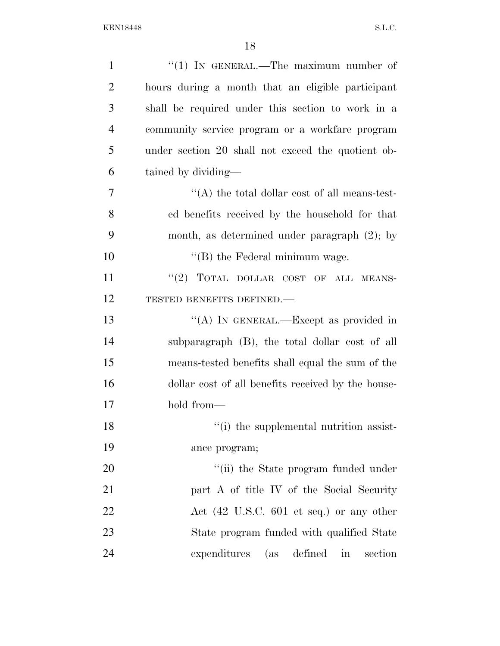| $\mathbf{1}$   | "(1) IN GENERAL.—The maximum number of                      |
|----------------|-------------------------------------------------------------|
| $\overline{2}$ | hours during a month that an eligible participant           |
| 3              | shall be required under this section to work in a           |
| $\overline{4}$ | community service program or a workfare program             |
| 5              | under section 20 shall not exceed the quotient ob-          |
| 6              | tained by dividing—                                         |
| 7              | $\lq\lq$ the total dollar cost of all means-test-           |
| 8              | ed benefits received by the household for that              |
| 9              | month, as determined under paragraph $(2)$ ; by             |
| 10             | "(B) the Federal minimum wage.                              |
| 11             | "(2) TOTAL DOLLAR COST OF ALL MEANS-                        |
| 12             | TESTED BENEFITS DEFINED.-                                   |
| 13             | "(A) IN GENERAL.—Except as provided in                      |
| 14             | subparagraph (B), the total dollar cost of all              |
| 15             | means-tested benefits shall equal the sum of the            |
| 16             | dollar cost of all benefits received by the house-          |
| 17             | hold from—                                                  |
| 18             | "(i) the supplemental nutrition assist-                     |
| 19             | ance program;                                               |
| 20             | "(ii) the State program funded under                        |
| 21             | part A of title IV of the Social Security                   |
| 22             | Act $(42 \text{ U.S.C. } 601 \text{ et seq.})$ or any other |
| 23             | State program funded with qualified State                   |
| 24             | expenditures (as defined in<br>section                      |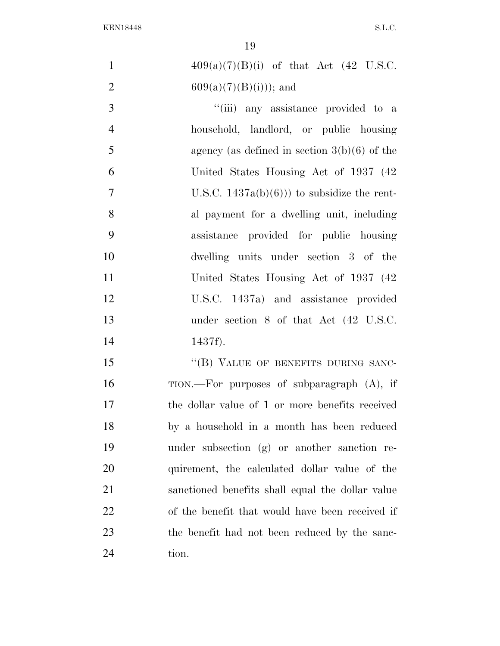| $\mathbf{1}$   | $409(a)(7)(B)(i)$ of that Act (42 U.S.C.            |
|----------------|-----------------------------------------------------|
| $\overline{2}$ | $609(a)(7)(B)(i))$ ; and                            |
| 3              | "(iii) any assistance provided to a                 |
| $\overline{4}$ | household, landlord, or public housing              |
| 5              | agency (as defined in section $3(b)(6)$ of the      |
| 6              | United States Housing Act of 1937 (42)              |
| $\overline{7}$ | U.S.C. $1437a(b)(6)$ ) to subsidize the rent-       |
| 8              | al payment for a dwelling unit, including           |
| 9              | assistance provided for public housing              |
| 10             | dwelling units under section 3 of the               |
| 11             | United States Housing Act of 1937 (42)              |
| 12             | U.S.C. 1437a) and assistance provided               |
| 13             | under section $8$ of that Act $(42 \text{ U.S.C.})$ |
| 14             | 1437f).                                             |
| 15             | "(B) VALUE OF BENEFITS DURING SANC-                 |
| 16             | TION.—For purposes of subparagraph (A), if          |
| 17             | the dollar value of 1 or more benefits received     |
| 18             | by a household in a month has been reduced          |
| 19             | under subsection (g) or another sanction re-        |
| 20             | quirement, the calculated dollar value of the       |
| 21             | sanctioned benefits shall equal the dollar value    |
| 22             | of the benefit that would have been received if     |
| 23             | the benefit had not been reduced by the sanc-       |
| 24             | tion.                                               |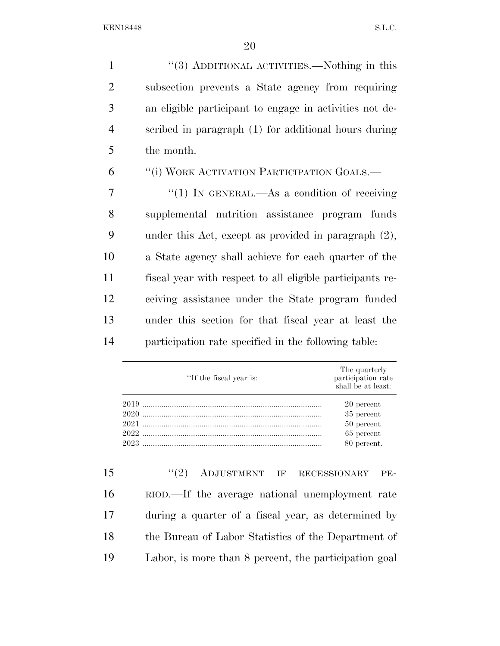''(3) ADDITIONAL ACTIVITIES.—Nothing in this subsection prevents a State agency from requiring an eligible participant to engage in activities not de- scribed in paragraph (1) for additional hours during the month.

''(i) WORK ACTIVATION PARTICIPATION GOALS.—

7 "(1) IN GENERAL.—As a condition of receiving supplemental nutrition assistance program funds under this Act, except as provided in paragraph (2), a State agency shall achieve for each quarter of the fiscal year with respect to all eligible participants re- ceiving assistance under the State program funded under this section for that fiscal year at least the participation rate specified in the following table:

| "If the fiscal year is: | The quarterly<br>participation rate<br>shall be at least: |
|-------------------------|-----------------------------------------------------------|
|                         | 20 percent                                                |
|                         | 35 percent                                                |
|                         | 50 percent                                                |
|                         | 65 percent                                                |
| 2023                    | 80 percent.                                               |

 ''(2) ADJUSTMENT IF RECESSIONARY PE- RIOD.—If the average national unemployment rate during a quarter of a fiscal year, as determined by the Bureau of Labor Statistics of the Department of Labor, is more than 8 percent, the participation goal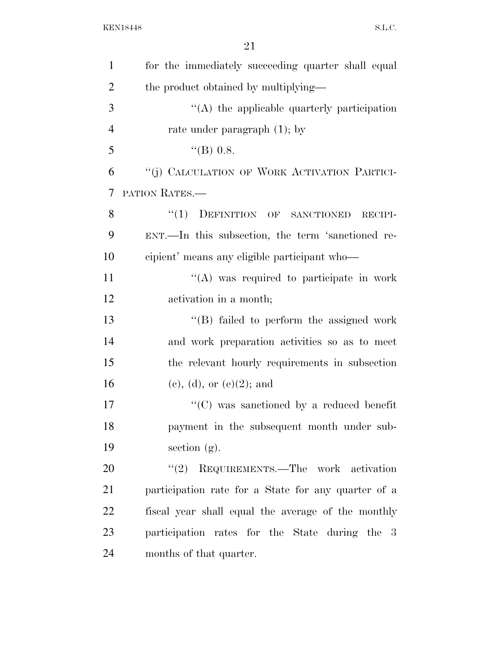| $\mathbf{1}$   | for the immediately succeeding quarter shall equal            |
|----------------|---------------------------------------------------------------|
| $\overline{2}$ | the product obtained by multiplying—                          |
| 3              | $\lq\lq$ the applicable quarterly participation               |
| $\overline{4}$ | rate under paragraph $(1)$ ; by                               |
| 5              | $\text{``(B) 0.8.}$                                           |
| 6              | "(j) CALCULATION OF WORK ACTIVATION PARTICI-                  |
| 7              | PATION RATES.                                                 |
| 8              | "(1) DEFINITION OF SANCTIONED<br>RECIPI-                      |
| 9              | ENT.—In this subsection, the term 'sanctioned re-             |
| 10             | cipient' means any eligible participant who—                  |
| 11             | $\lq\lq$ was required to participate in work                  |
| 12             | activation in a month;                                        |
| 13             | "(B) failed to perform the assigned work                      |
| 14             | and work preparation activities so as to meet                 |
| 15             | the relevant hourly requirements in subsection                |
| 16             | (e), (d), or (e)(2); and                                      |
| 17             | $\lq\lq$ <sup>*</sup> (C) was sanctioned by a reduced benefit |
| 18             | payment in the subsequent month under sub-                    |
| 19             | section $(g)$ .                                               |
| 20             | (2)<br>REQUIREMENTS.—The work activation                      |
| 21             | participation rate for a State for any quarter of a           |
| 22             | fiscal year shall equal the average of the monthly            |
| 23             | participation rates for the State during the 3                |
| 24             | months of that quarter.                                       |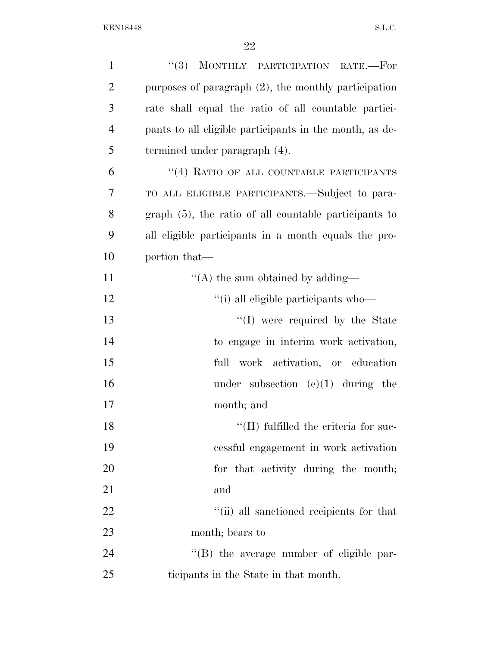| $\mathbf{1}$   | (3)<br>MONTHLY PARTICIPATION RATE.-For                  |
|----------------|---------------------------------------------------------|
| $\overline{2}$ | purposes of paragraph $(2)$ , the monthly participation |
| 3              | rate shall equal the ratio of all countable partici-    |
| $\overline{4}$ | pants to all eligible participants in the month, as de- |
| 5              | termined under paragraph (4).                           |
| 6              | "(4) RATIO OF ALL COUNTABLE PARTICIPANTS                |
| 7              | TO ALL ELIGIBLE PARTICIPANTS.—Subject to para-          |
| 8              | graph (5), the ratio of all countable participants to   |
| 9              | all eligible participants in a month equals the pro-    |
| 10             | portion that—                                           |
| 11             | "(A) the sum obtained by adding—                        |
| 12             | "(i) all eligible participants who-                     |
| 13             | "(I) were required by the State                         |
| 14             | to engage in interim work activation,                   |
| 15             | full work activation, or education                      |
| 16             | under subsection $(e)(1)$ during the                    |
| 17             | month; and                                              |
| 18             | $\lq\lq$ (II) fulfilled the criteria for suc-           |
| 19             | cessful engagement in work activation                   |
| 20             | for that activity during the month;                     |
| 21             | and                                                     |
| 22             | "(ii) all sanctioned recipients for that                |
| 23             | month; bears to                                         |
| 24             | "(B) the average number of eligible par-                |
| 25             | ticipants in the State in that month.                   |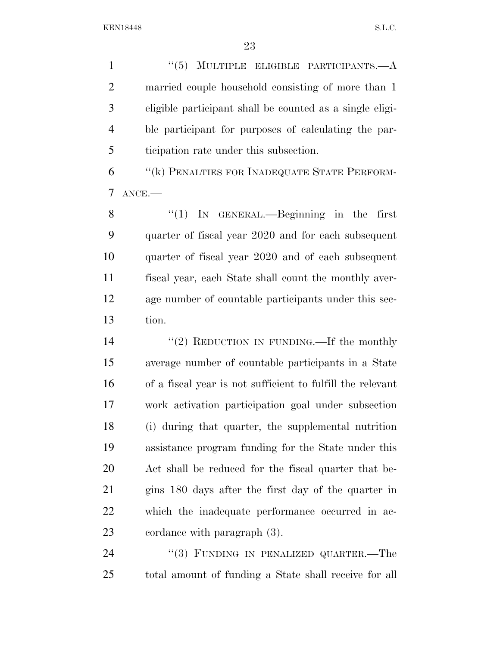1 ''(5) MULTIPLE ELIGIBLE PARTICIPANTS.—A married couple household consisting of more than 1 eligible participant shall be counted as a single eligi- ble participant for purposes of calculating the par-ticipation rate under this subsection.

 ''(k) PENALTIES FOR INADEQUATE STATE PERFORM-ANCE.—

8 "(1) In GENERAL.—Beginning in the first quarter of fiscal year 2020 and for each subsequent quarter of fiscal year 2020 and of each subsequent fiscal year, each State shall count the monthly aver- age number of countable participants under this sec-tion.

14 "(2) REDUCTION IN FUNDING.—If the monthly average number of countable participants in a State of a fiscal year is not sufficient to fulfill the relevant work activation participation goal under subsection (i) during that quarter, the supplemental nutrition assistance program funding for the State under this Act shall be reduced for the fiscal quarter that be- gins 180 days after the first day of the quarter in which the inadequate performance occurred in ac-cordance with paragraph (3).

24 "(3) FUNDING IN PENALIZED QUARTER.—The total amount of funding a State shall receive for all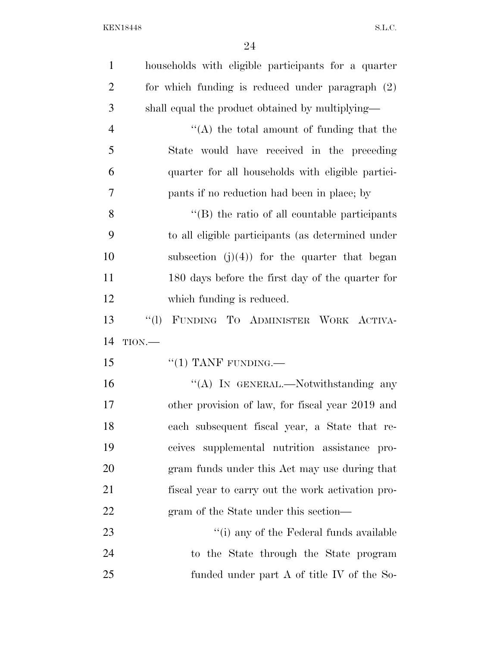| $\mathbf{1}$   | households with eligible participants for a quarter |
|----------------|-----------------------------------------------------|
| $\overline{2}$ | for which funding is reduced under paragraph (2)    |
| 3              | shall equal the product obtained by multiplying—    |
| $\overline{4}$ | $\lq\lq$ the total amount of funding that the       |
| 5              | State would have received in the preceding          |
| 6              | quarter for all households with eligible partici-   |
| 7              | pants if no reduction had been in place; by         |
| 8              | "(B) the ratio of all countable participants        |
| 9              | to all eligible participants (as determined under   |
| 10             | subsection $(j)(4)$ for the quarter that began      |
| 11             | 180 days before the first day of the quarter for    |
| 12             | which funding is reduced.                           |
| 13             | ``(1)<br>FUNDING TO ADMINISTER WORK ACTIVA-         |
| 14             | $TION$ .                                            |
| 15             | $``(1)$ TANF FUNDING.—                              |
| 16             | "(A) IN GENERAL.—Notwithstanding any                |
| 17             | other provision of law, for fiscal year 2019 and    |
| 18             | each subsequent fiscal year, a State that re-       |
| 19             | ceives supplemental nutrition assistance pro-       |
| 20             | gram funds under this Act may use during that       |
| 21             | fiscal year to carry out the work activation pro-   |
| 22             | gram of the State under this section—               |
| 23             | "(i) any of the Federal funds available             |
| 24             | to the State through the State program              |
| 25             | funded under part $A$ of title IV of the So-        |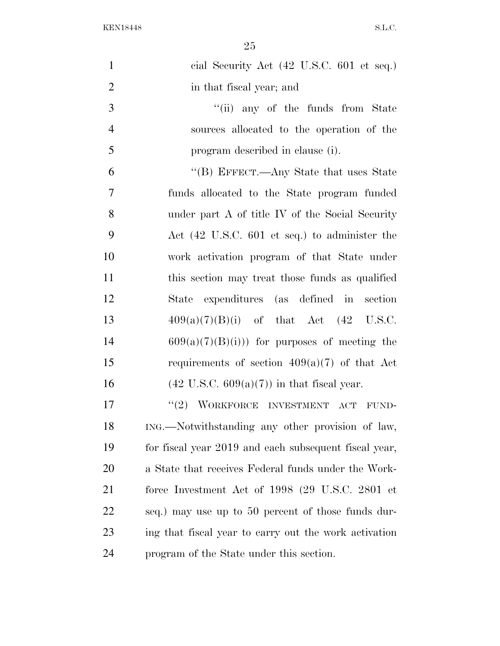| $\mathbf{1}$   | cial Security Act (42 U.S.C. 601 et seq.)             |
|----------------|-------------------------------------------------------|
| $\overline{2}$ | in that fiscal year; and                              |
| 3              | "(ii) any of the funds from State                     |
| $\overline{4}$ | sources allocated to the operation of the             |
| 5              | program described in clause (i).                      |
| 6              | "(B) EFFECT.—Any State that uses State                |
| $\overline{7}$ | funds allocated to the State program funded           |
| 8              | under part A of title IV of the Social Security       |
| 9              | Act (42 U.S.C. 601 et seq.) to administer the         |
| 10             | work activation program of that State under           |
| 11             | this section may treat those funds as qualified       |
| 12             | State expenditures (as defined in section             |
| 13             | $409(a)(7)(B)(i)$ of that Act $(42 \text{ U.S.C.})$   |
| 14             | $609(a)(7)(B(i))$ for purposes of meeting the         |
| 15             | requirements of section $409(a)(7)$ of that Act       |
| 16             | $(42 \text{ U.S.C. } 609(a)(7))$ in that fiscal year. |
| 17             | "(2) WORKFORCE INVESTMENT ACT FUND-                   |
| 18             | ING.—Notwithstanding any other provision of law,      |
| 19             | for fiscal year 2019 and each subsequent fiscal year, |
| 20             | a State that receives Federal funds under the Work-   |
| 21             | force Investment Act of 1998 (29 U.S.C. 2801 et       |
| 22             | seq.) may use up to 50 percent of those funds dur-    |
| 23             | ing that fiscal year to carry out the work activation |
| 24             | program of the State under this section.              |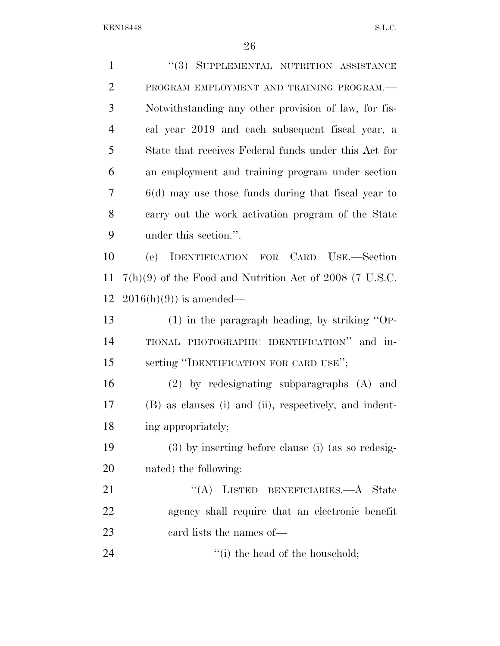| $\mathbf{1}$   | "(3) SUPPLEMENTAL NUTRITION ASSISTANCE                    |
|----------------|-----------------------------------------------------------|
| $\overline{2}$ | PROGRAM EMPLOYMENT AND TRAINING PROGRAM.-                 |
| 3              | Notwithstanding any other provision of law, for fis-      |
| $\overline{4}$ | cal year 2019 and each subsequent fiscal year, a          |
| 5              | State that receives Federal funds under this Act for      |
| 6              | an employment and training program under section          |
| 7              | $6(d)$ may use those funds during that fiscal year to     |
| 8              | carry out the work activation program of the State        |
| 9              | under this section.".                                     |
| 10             | IDENTIFICATION FOR CARD USE.-Section<br>(e)               |
| 11             | $7(h)(9)$ of the Food and Nutrition Act of 2008 (7 U.S.C. |
| 12             | $2016(h)(9)$ is amended—                                  |
| 13             | $(1)$ in the paragraph heading, by striking "OP-          |
| 14             | TIONAL PHOTOGRAPHIC IDENTIFICATION" and in-               |
| 15             | serting "IDENTIFICATION FOR CARD USE";                    |
| 16             | (2) by redesignating subparagraphs (A) and                |
| 17             | (B) as clauses (i) and (ii), respectively, and indent-    |
| 18             | ing appropriately;                                        |
| 19             | $(3)$ by inserting before clause (i) (as so redesig-      |
| <b>20</b>      | nated) the following:                                     |
| 21             | "(A) LISTED BENEFICIARIES.—A State                        |
| 22             | agency shall require that an electronic benefit           |
| 23             | eard lists the names of—                                  |
| 24             | "(i) the head of the household;                           |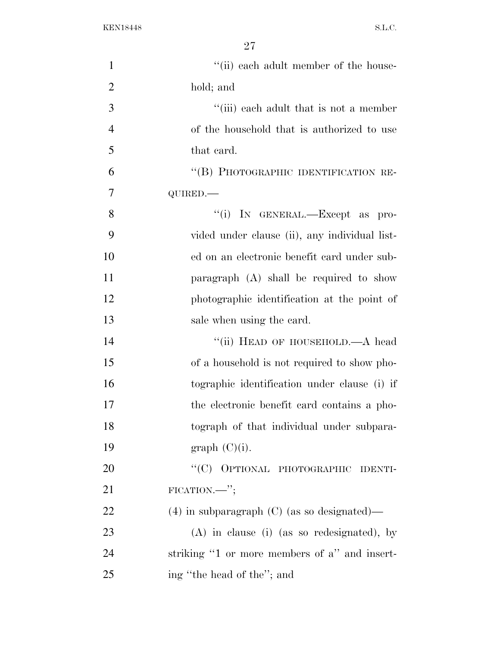| $\mathbf{1}$   | "(ii) each adult member of the house-           |
|----------------|-------------------------------------------------|
| $\overline{2}$ | hold; and                                       |
| 3              | "(iii) each adult that is not a member          |
| $\overline{4}$ | of the household that is authorized to use      |
| 5              | that card.                                      |
| 6              | "(B) PHOTOGRAPHIC IDENTIFICATION RE-            |
| 7              | QUIRED.                                         |
| 8              | "(i) IN GENERAL.—Except as pro-                 |
| 9              | vided under clause (ii), any individual list-   |
| 10             | ed on an electronic benefit card under sub-     |
| 11             | paragraph $(A)$ shall be required to show       |
| 12             | photographic identification at the point of     |
| 13             | sale when using the card.                       |
| 14             | "(ii) HEAD OF HOUSEHOLD.—A head                 |
| 15             | of a household is not required to show pho-     |
| 16             | tographic identification under clause (i) if    |
| 17             | the electronic benefit card contains a pho-     |
| 18             | tograph of that individual under subpara-       |
| 19             | graph (C)(i).                                   |
| 20             | "(C) OPTIONAL PHOTOGRAPHIC<br><b>IDENTI-</b>    |
| 21             | $FICATION.$ ";                                  |
| 22             | $(4)$ in subparagraph $(C)$ (as so designated)— |
| 23             | $(A)$ in clause (i) (as so redesignated), by    |
| 24             | striking "1 or more members of a" and insert-   |
| 25             | ing "the head of the"; and                      |